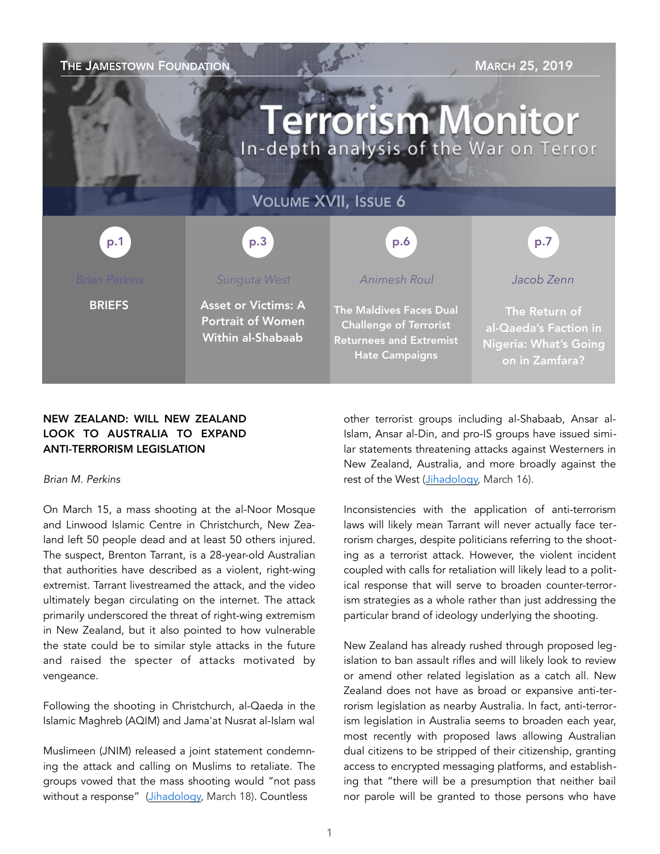| THE JAMESTOWN FOUNDATION<br><b>MARCH 25, 2019</b><br><b>Terrorism Monitor</b><br>In-depth analysis of the War on Terror |                                                                                    |                                                                                                                            |                                                                                          |
|-------------------------------------------------------------------------------------------------------------------------|------------------------------------------------------------------------------------|----------------------------------------------------------------------------------------------------------------------------|------------------------------------------------------------------------------------------|
| <b>VOLUME XVII, ISSUE 6</b>                                                                                             |                                                                                    |                                                                                                                            |                                                                                          |
| p.1                                                                                                                     | p.3                                                                                | p.6                                                                                                                        | p.7                                                                                      |
| <b>Brian Perkins</b>                                                                                                    | Sunguta West                                                                       | <b>Animesh Roul</b>                                                                                                        | Jacob Zenn                                                                               |
| <b>BRIEFS</b>                                                                                                           | <b>Asset or Victims: A</b><br><b>Portrait of Women</b><br><b>Within al-Shabaab</b> | <b>The Maldives Faces Dual</b><br><b>Challenge of Terrorist</b><br><b>Returnees and Extremist</b><br><b>Hate Campaigns</b> | The Return of<br>al-Qaeda's Faction in<br><b>Nigeria: What's Going</b><br>on in Zamfara? |

# NEW ZEALAND: WILL NEW ZEALAND LOOK TO AUSTRALIA TO EXPAND ANTI-TERRORISM LEGISLATION

*Brian M. Perkins* 

On March 15, a mass shooting at the al-Noor Mosque and Linwood Islamic Centre in Christchurch, New Zealand left 50 people dead and at least 50 others injured. The suspect, Brenton Tarrant, is a 28-year-old Australian that authorities have described as a violent, right-wing extremist. Tarrant livestreamed the attack, and the video ultimately began circulating on the internet. The attack primarily underscored the threat of right-wing extremism in New Zealand, but it also pointed to how vulnerable the state could be to similar style attacks in the future and raised the specter of attacks motivated by vengeance.

Following the shooting in Christchurch, al-Qaeda in the Islamic Maghreb (AQIM) and Jama'at Nusrat al-Islam wal

Muslimeen (JNIM) released a joint statement condemning the attack and calling on Muslims to retaliate. The groups vowed that the mass shooting would "not pass without a response" (*Jihadology*, March 18). Countless

other terrorist groups including al-Shabaab, Ansar al-Islam, Ansar al-Din, and pro-IS groups have issued similar statements threatening attacks against Westerners in New Zealand, Australia, and more broadly against the rest of the West ([Jihadology,](https://jihadology.net/2019/03/16/new-statement-from-an%E1%B9%A3ar-al-islam-condemning-the-murder-of-muslims-in-the-mosque-in-new-) March 16).

Inconsistencies with the application of anti-terrorism laws will likely mean Tarrant will never actually face terrorism charges, despite politicians referring to the shooting as a terrorist attack. However, the violent incident coupled with calls for retaliation will likely lead to a political response that will serve to broaden counter-terrorism strategies as a whole rather than just addressing the particular brand of ideology underlying the shooting.

New Zealand has already rushed through proposed legislation to ban assault rifles and will likely look to review or amend other related legislation as a catch all. New Zealand does not have as broad or expansive anti-terrorism legislation as nearby Australia. In fact, anti-terrorism legislation in Australia seems to broaden each year, most recently with proposed laws allowing Australian dual citizens to be stripped of their citizenship, granting access to encrypted messaging platforms, and establishing that "there will be a presumption that neither bail nor parole will be granted to those persons who have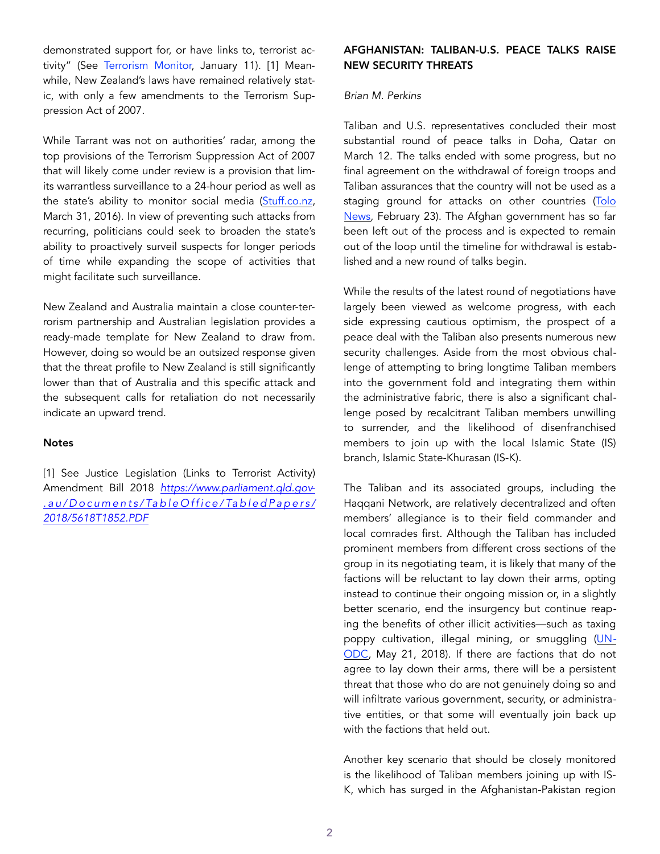demonstrated support for, or have links to, terrorist activity" (See [Terrorism Monitor,](https://jamestown.org/program/briefs-jan-11/) January 11). [1] Meanwhile, New Zealand's laws have remained relatively static, with only a few amendments to the Terrorism Suppression Act of 2007.

While Tarrant was not on authorities' radar, among the top provisions of the Terrorism Suppression Act of 2007 that will likely come under review is a provision that limits warrantless surveillance to a 24-hour period as well as the state's ability to monitor social media ([Stuff.co.nz,](https://www.stuff.co.nz/national/politics/78431210/spying-without-a-warrant-spy-agenci) March 31, 2016). In view of preventing such attacks from recurring, politicians could seek to broaden the state's ability to proactively surveil suspects for longer periods of time while expanding the scope of activities that might facilitate such surveillance.

New Zealand and Australia maintain a close counter-terrorism partnership and Australian legislation provides a ready-made template for New Zealand to draw from. However, doing so would be an outsized response given that the threat profile to New Zealand is still significantly lower than that of Australia and this specific attack and the subsequent calls for retaliation do not necessarily indicate an upward trend.

### **Notes**

[1] See Justice Legislation (Links to Terrorist Activity) Amendment Bill 2018 *[https://www.parliament.qld.gov](https://www.parliament.qld.gov.au/Documents/TableOffice/TabledPapers/2018/5618T1852.PDF)- [.au/Documents/TableOffice/TabledPapers/](https://www.parliament.qld.gov.au/Documents/TableOffice/TabledPapers/2018/5618T1852.PDF) [2018/5618T1852.PDF](https://www.parliament.qld.gov.au/Documents/TableOffice/TabledPapers/2018/5618T1852.PDF)*

# AFGHANISTAN: TALIBAN-U.S. PEACE TALKS RAISE NEW SECURITY THREATS

### *Brian M. Perkins*

Taliban and U.S. representatives concluded their most substantial round of peace talks in Doha, Qatar on March 12. The talks ended with some progress, but no final agreement on the withdrawal of foreign troops and Taliban assurances that the country will not be used as a staging ground for attacks on other countries (Tolo [News,](https://www.tolonews.com/afghanistan/us-taliban-discuss-forces-withdrawal-ceasefire-qatar) February 23). The Afghan government has so far been left out of the process and is expected to remain out of the loop until the timeline for withdrawal is established and a new round of talks begin.

While the results of the latest round of negotiations have largely been viewed as welcome progress, with each side expressing cautious optimism, the prospect of a peace deal with the Taliban also presents numerous new security challenges. Aside from the most obvious challenge of attempting to bring longtime Taliban members into the government fold and integrating them within the administrative fabric, there is also a significant challenge posed by recalcitrant Taliban members unwilling to surrender, and the likelihood of disenfranchised members to join up with the local Islamic State (IS) branch, Islamic State-Khurasan (IS-K).

The Taliban and its associated groups, including the Haqqani Network, are relatively decentralized and often members' allegiance is to their field commander and local comrades first. Although the Taliban has included prominent members from different cross sections of the group in its negotiating team, it is likely that many of the factions will be reluctant to lay down their arms, opting instead to continue their ongoing mission or, in a slightly better scenario, end the insurgency but continue reaping the benefits of other illicit activities—such as taxing poppy cultivation, illegal mining, or smuggling ([UN](https://www.unodc.org/unodc/en/frontpage/2018/May/last-years-record-op)-[ODC,](https://www.unodc.org/unodc/en/frontpage/2018/May/last-years-record-op) May 21, 2018). If there are factions that do not agree to lay down their arms, there will be a persistent threat that those who do are not genuinely doing so and will infiltrate various government, security, or administrative entities, or that some will eventually join back up with the factions that held out.

Another key scenario that should be closely monitored is the likelihood of Taliban members joining up with IS-K, which has surged in the Afghanistan-Pakistan region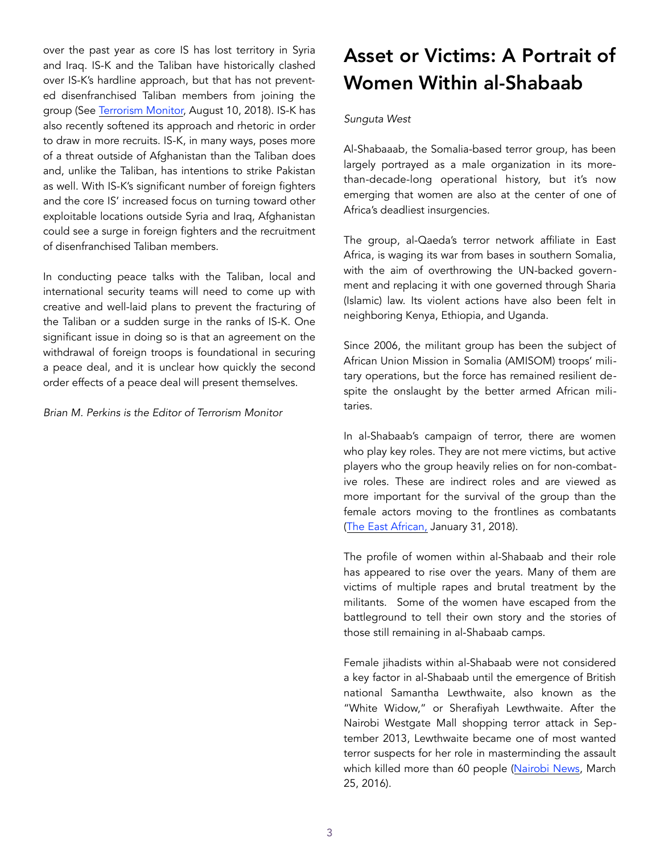over the past year as core IS has lost territory in Syria and Iraq. IS-K and the Taliban have historically clashed over IS-K's hardline approach, but that has not prevented disenfranchised Taliban members from joining the group (See [Terrorism Monitor,](https://jamestown.org/program/the-taliban-takes-on-islamic-state-insurgents-vie-for-control-of-northern-afghanistan/) August 10, 2018). IS-K has also recently softened its approach and rhetoric in order to draw in more recruits. IS-K, in many ways, poses more of a threat outside of Afghanistan than the Taliban does and, unlike the Taliban, has intentions to strike Pakistan as well. With IS-K's significant number of foreign fighters and the core IS' increased focus on turning toward other exploitable locations outside Syria and Iraq, Afghanistan could see a surge in foreign fighters and the recruitment of disenfranchised Taliban members.

In conducting peace talks with the Taliban, local and international security teams will need to come up with creative and well-laid plans to prevent the fracturing of the Taliban or a sudden surge in the ranks of IS-K. One significant issue in doing so is that an agreement on the withdrawal of foreign troops is foundational in securing a peace deal, and it is unclear how quickly the second order effects of a peace deal will present themselves.

*Brian M. Perkins is the Editor of Terrorism Monitor* 

# Asset or Victims: A Portrait of Women Within al-Shabaab

# *Sunguta West*

Al-Shabaaab, the Somalia-based terror group, has been largely portrayed as a male organization in its morethan-decade-long operational history, but it's now emerging that women are also at the center of one of Africa's deadliest insurgencies.

The group, al-Qaeda's terror network affiliate in East Africa, is waging its war from bases in southern Somalia, with the aim of overthrowing the UN-backed government and replacing it with one governed through Sharia (Islamic) law. Its violent actions have also been felt in neighboring Kenya, Ethiopia, and Uganda.

Since 2006, the militant group has been the subject of African Union Mission in Somalia (AMISOM) troops' military operations, but the force has remained resilient despite the onslaught by the better armed African militaries.

In al-Shabaab's campaign of terror, there are women who play key roles. They are not mere victims, but active players who the group heavily relies on for non-combative roles. These are indirect roles and are viewed as more important for the survival of the group than the female actors moving to the frontlines as combatants ([The East African,](https://www.theeastafrican.co.ke/news/ea/Al-Shabaab-women-fighters-/4552908-4285476-irtk4iz/index.html) January 31, 2018).

The profile of women within al-Shabaab and their role has appeared to rise over the years. Many of them are victims of multiple rapes and brutal treatment by the militants. Some of the women have escaped from the battleground to tell their own story and the stories of those still remaining in al-Shabaab camps.

Female jihadists within al-Shabaab were not considered a key factor in al-Shabaab until the emergence of British national Samantha Lewthwaite, also known as the "White Widow," or Sherafiyah Lewthwaite. After the Nairobi Westgate Mall shopping terror attack in September 2013, Lewthwaite became one of most wanted terror suspects for her role in masterminding the assault which killed more than 60 people ([Nairobi News,](https://nairobinews.nation.co.ke/news/nairobi-police-arrest-white-widow-look-alike) March 25, 2016).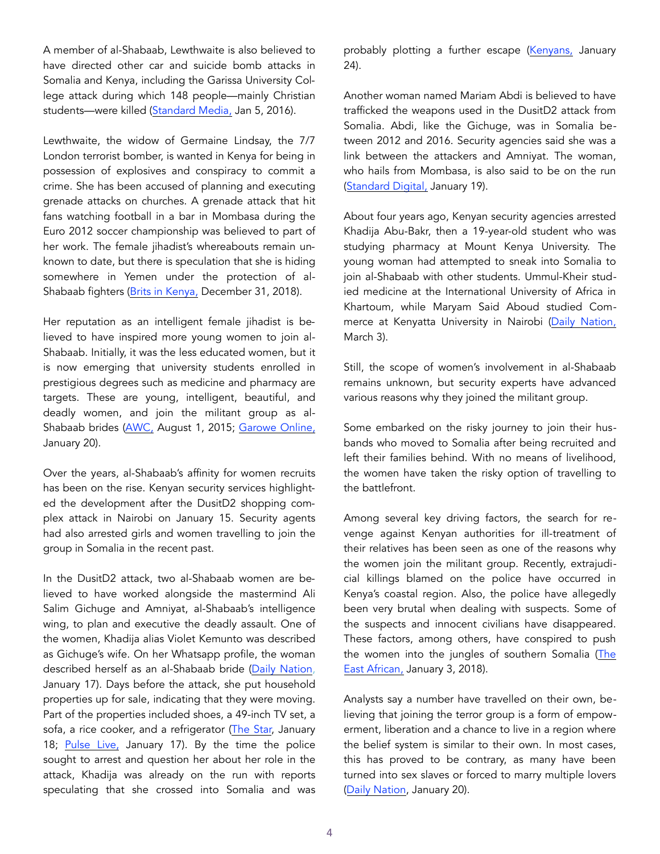A member of al-Shabaab, Lewthwaite is also believed to have directed other car and suicide bomb attacks in Somalia and Kenya, including the Garissa University College attack during which 148 people—mainly Christian students—were killed [\(Standard Media,](https://www.standardmedia.co.ke/article/2000187086/white-widow-samantha-lethwaite-sighted-entering-prestigious-hotel-in-england) Jan 5, 2016).

Lewthwaite, the widow of Germaine Lindsay, the 7/7 London terrorist bomber, is wanted in Kenya for being in possession of explosives and conspiracy to commit a crime. She has been accused of planning and executing grenade attacks on churches. A grenade attack that hit fans watching football in a bar in Mombasa during the Euro 2012 soccer championship was believed to part of her work. The female jihadist's whereabouts remain unknown to date, but there is speculation that she is hiding somewhere in Yemen under the protection of al-Shabaab fighters ([Brits in Kenya,](https://www.britsinkenya.com/2018/12/31/net-closing-in-on-al-shabaab-terrorist-samantha-lewthwaite-following-credible-evidence-from-mi6-officer-in-nairobi/) December 31, 2018).

Her reputation as an intelligent female jihadist is believed to have inspired more young women to join al-Shabaab. Initially, it was the less educated women, but it is now emerging that university students enrolled in prestigious degrees such as medicine and pharmacy are targets. These are young, intelligent, beautiful, and deadly women, and join the militant group as al-Shabaab brides [\(AWC,](http://kw.awcfs.org/article/women-taking-a-more-aggressive-role-in-terrorism/) August 1, 2015; [Garowe Online,](https://www.garoweonline.com/en/news/world/africa/rise-of-female-jihadists-complicates-kenyas-war-on-terror) January 20).

Over the years, al-Shabaab's affinity for women recruits has been on the rise. Kenyan security services highlighted the development after the DusitD2 shopping complex attack in Nairobi on January 15. Security agents had also arrested girls and women travelling to join the group in Somalia in the recent past.

In the DusitD2 attack, two al-Shabaab women are believed to have worked alongside the mastermind Ali Salim Gichuge and Amniyat, al-Shabaab's intelligence wing, to plan and executive the deadly assault. One of the women, Khadija alias Violet Kemunto was described as Gichuge's wife. On her Whatsapp profile, the woman described herself as an al-Shabaab bride ([Daily Nation,](https://www.nation.co.ke/news/DusidD2-attack-suspect-lived-with-Jihadist-woman/1056-4938638-jocfhx/index.html) January 17). Days before the attack, she put household properties up for sale, indicating that they were moving. Part of the properties included shoes, a 49-inch TV set, a sofa, a rice cooker, and a refrigerator ([The Star,](https://www.the-star.co.ke/n) January 18; [Pulse Live,](https://www.pulselive.co.ke/news/inside-the-house-where-dusit-terror-attacker-lived-with-girlfriend-in-guango-estate/xtq57jn) January 17). By the time the police sought to arrest and question her about her role in the attack, Khadija was already on the run with reports speculating that she crossed into Somalia and was probably plotting a further escape ([Kenyans,](https://www.kenyans.co.ke/news/362) January 24).

Another woman named Mariam Abdi is believed to have trafficked the weapons used in the DusitD2 attack from Somalia. Abdi, like the Gichuge, was in Somalia between 2012 and 2016. Security agencies said she was a link between the attackers and Amniyat. The woman, who hails from Mombasa, is also said to be on the run ([Standard Digital,](https://www.standardmedia.co.ke/article/2001309960/mystery-woman-delivered-arms-to-terrorists-from-somalia) January 19).

About four years ago, Kenyan security agencies arrested Khadija Abu-Bakr, then a 19-year-old student who was studying pharmacy at Mount Kenya University. The young woman had attempted to sneak into Somalia to join al-Shabaab with other students. Ummul-Kheir studied medicine at the International University of Africa in Khartoum, while Maryam Said Aboud studied Commerce at Kenyatta University in Nairobi ([Daily Nation,](https://www.nation.co.ke/news/p) March 3).

Still, the scope of women's involvement in al-Shabaab remains unknown, but security experts have advanced various reasons why they joined the militant group.

Some embarked on the risky journey to join their husbands who moved to Somalia after being recruited and left their families behind. With no means of livelihood, the women have taken the risky option of travelling to the battlefront.

Among several key driving factors, the search for revenge against Kenyan authorities for ill-treatment of their relatives has been seen as one of the reasons why the women join the militant group. Recently, extrajudicial killings blamed on the police have occurred in Kenya's coastal region. Also, the police have allegedly been very brutal when dealing with suspects. Some of the suspects and innocent civilians have disappeared. These factors, among others, have conspired to push the women into the jungles of southern Somalia ([The](https://www.theeastafrican.co.ke/news/ea/Al-Shabaab-women-fighters-/4552908-4285476-irtk4iz/index.html)  [East African,](https://www.theeastafrican.co.ke/news/ea/Al-Shabaab-women-fighters-/4552908-4285476-irtk4iz/index.html) January 3, 2018).

Analysts say a number have travelled on their own, believing that joining the terror group is a form of empowerment, liberation and a chance to live in a region where the belief system is similar to their own. In most cases, this has proved to be contrary, as many have been turned into sex slaves or forced to marry multiple lovers (Daily Nation, January 20).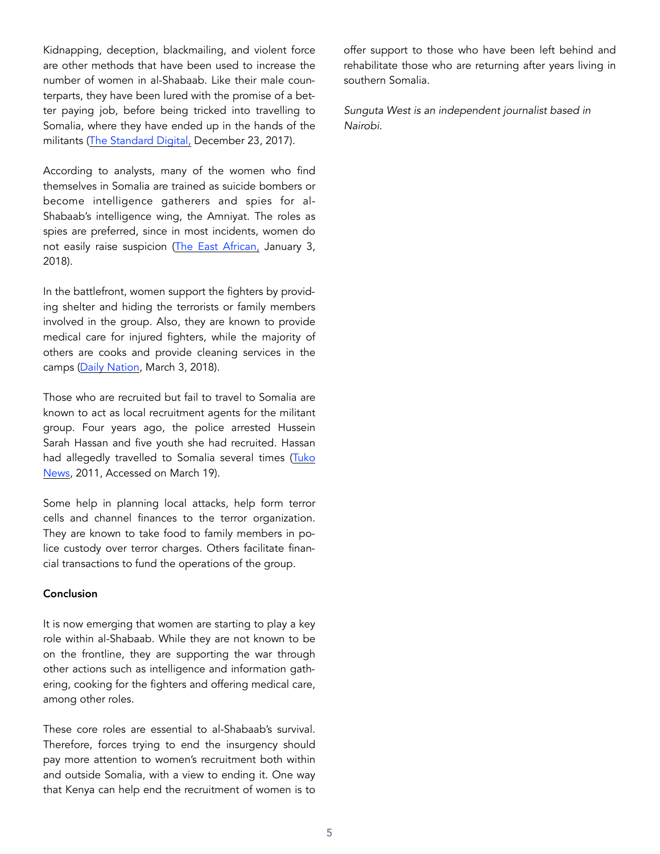Kidnapping, deception, blackmailing, and violent force are other methods that have been used to increase the number of women in al-Shabaab. Like their male counterparts, they have been lured with the promise of a better paying job, before being tricked into travelling to Somalia, where they have ended up in the hands of the militants ([The Standard Digital,](https://www.standardmedia.co.ke/article/2001263935/al-shabaab-commander-made-me-his-seventh-wife-says-kenyan-woman) December 23, 2017).

According to analysts, many of the women who find themselves in Somalia are trained as suicide bombers or become intelligence gatherers and spies for al-Shabaab's intelligence wing, the Amniyat. The roles as spies are preferred, since in most incidents, women do not easily raise suspicion [\(The East African,](https://www.theeastafrican.co.ke/news/ea/Al-Shabaab-women-fighters-/4552908-4285476-irtk4iz/index.html) January 3, 2018).

In the battlefront, women support the fighters by providing shelter and hiding the terrorists or family members involved in the group. Also, they are known to provide medical care for injured fighters, while the majority of others are cooks and provide cleaning services in the camps [\(Daily Nation](https://www.nation.co.ke/news/politics/58-students-have-join), March 3, 2018).

Those who are recruited but fail to travel to Somalia are known to act as local recruitment agents for the militant group. Four years ago, the police arrested Hussein Sarah Hassan and five youth she had recruited. Hassan had allegedly travelled to Somalia several times ([Tuko](https://www.tuko.co.ke/26442-al-shabaab-mombasa-woman-held-recruiting-youths.html%22%20%5Cl%20%2226442)  [News,](https://www.tuko.co.ke/26442-al-shabaab-mombasa-woman-held-recruiting-youths.html%22%20%5Cl%20%2226442) 2011, Accessed on March 19).

Some help in planning local attacks, help form terror cells and channel finances to the terror organization. They are known to take food to family members in police custody over terror charges. Others facilitate financial transactions to fund the operations of the group.

## Conclusion

It is now emerging that women are starting to play a key role within al-Shabaab. While they are not known to be on the frontline, they are supporting the war through other actions such as intelligence and information gathering, cooking for the fighters and offering medical care, among other roles.

These core roles are essential to al-Shabaab's survival. Therefore, forces trying to end the insurgency should pay more attention to women's recruitment both within and outside Somalia, with a view to ending it. One way that Kenya can help end the recruitment of women is to offer support to those who have been left behind and rehabilitate those who are returning after years living in southern Somalia.

*Sunguta West is an independent journalist based in Nairobi.*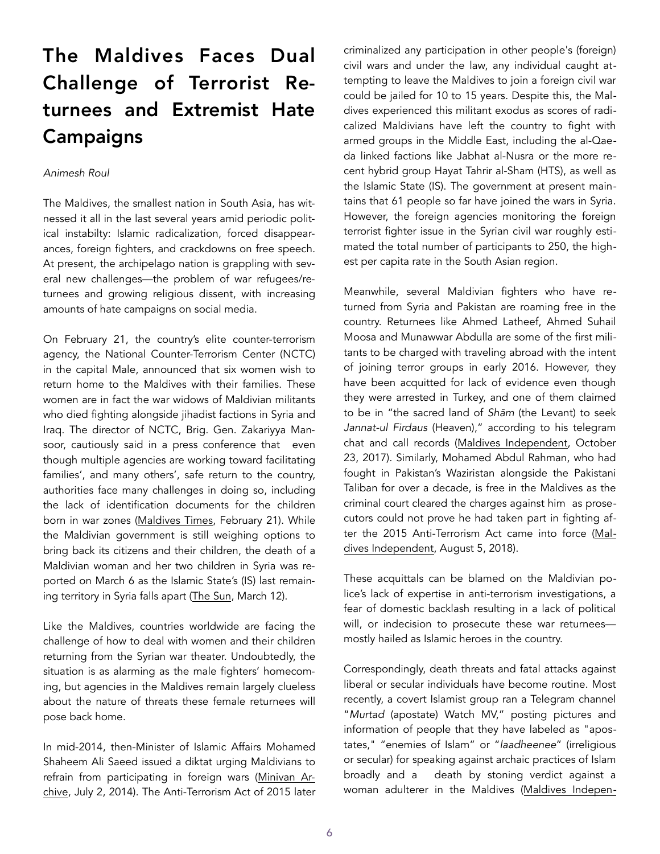# The Maldives Faces Dual Challenge of Terrorist Returnees and Extremist Hate **Campaigns**

## *Animesh Roul*

The Maldives, the smallest nation in South Asia, has witnessed it all in the last several years amid periodic political instabilty: Islamic radicalization, forced disappearances, foreign fighters, and crackdowns on free speech. At present, the archipelago nation is grappling with several new challenges—the problem of war refugees/returnees and growing religious dissent, with increasing amounts of hate campaigns on social media.

On February 21, the country's elite counter-terrorism agency, the National Counter-Terrorism Center (NCTC) in the capital Male, announced that six women wish to return home to the Maldives with their families. These women are in fact the war widows of Maldivian militants who died fighting alongside jihadist factions in Syria and Iraq. The director of NCTC, Brig. Gen. Zakariyya Mansoor, cautiously said in a press conference that even though multiple agencies are working toward facilitating families', and many others', safe return to the country, authorities face many challenges in doing so, including the lack of identification documents for the children born in war zones ([Maldives Times,](https://maldivestimes.com/six-war-widows-looking-to-return-to-maldives-with-families-nctc/) February 21). While the Maldivian government is still weighing options to bring back its citizens and their children, the death of a Maldivian woman and her two children in Syria was reported on March 6 as the Islamic State's (IS) last remaining territory in Syria falls apart [\(The Sun,](https://en.sun.mv/52718) March 12).

Like the Maldives, countries worldwide are facing the challenge of how to deal with women and their children returning from the Syrian war theater. Undoubtedly, the situation is as alarming as the male fighters' homecoming, but agencies in the Maldives remain largely clueless about the nature of threats these female returnees will pose back home.

In mid-2014, then-Minister of Islamic Affairs Mohamed Shaheem Ali Saeed issued a diktat urging Maldivians to refrain from participating in foreign wars [\(Minivan Ar](https://minivannewsarchive.com/politics/islamic-minister-advises-maldivians-against-participating-in-foreign-wars-87961)[chive](https://minivannewsarchive.com/politics/islamic-minister-advises-maldivians-against-participating-in-foreign-wars-87961), July 2, 2014). The Anti-Terrorism Act of 2015 later criminalized any participation in other people's (foreign) civil wars and under the law, any individual caught attempting to leave the Maldives to join a foreign civil war could be jailed for 10 to 15 years. Despite this, the Maldives experienced this militant exodus as scores of radicalized Maldivians have left the country to fight with armed groups in the Middle East, including the al-Qaeda linked factions like Jabhat al-Nusra or the more recent hybrid group Hayat Tahrir al-Sham (HTS), as well as the Islamic State (IS). The government at present maintains that 61 people so far have joined the wars in Syria. However, the foreign agencies monitoring the foreign terrorist fighter issue in the Syrian civil war roughly estimated the total number of participants to 250, the highest per capita rate in the South Asian region.

Meanwhile, several Maldivian fighters who have returned from Syria and Pakistan are roaming free in the country. Returnees like Ahmed Latheef, Ahmed Suhail Moosa and Munawwar Abdulla are some of the first militants to be charged with traveling abroad with the intent of joining terror groups in early 2016. However, they have been acquitted for lack of evidence even though they were arrested in Turkey, and one of them claimed to be in "the sacred land of *Sh*ā*m* (the Levant) to seek *Jannat-ul Firdaus* (Heaven)," according to his telegram chat and call records ([Maldives Independent,](https://maldivesindependent.com/crime-2/alleged-maldivian-jihadis-cleared-of-intent-to-join-terror-group-133542) October 23, 2017). Similarly, Mohamed Abdul Rahman, who had fought in Pakistan's Waziristan alongside the Pakistani Taliban for over a decade, is free in the Maldives as the criminal court cleared the charges against him as prosecutors could not prove he had taken part in fighting after the 2015 Anti-Terrorism Act came into force ([Mal](https://maldivesindependent.com/crime-2/maldives-court-frees-top-terrorist-leader-139866)[dives Independent,](https://maldivesindependent.com/crime-2/maldives-court-frees-top-terrorist-leader-139866) August 5, 2018).

These acquittals can be blamed on the Maldivian police's lack of expertise in anti-terrorism investigations, a fear of domestic backlash resulting in a lack of political will, or indecision to prosecute these war returneesmostly hailed as Islamic heroes in the country.

Correspondingly, death threats and fatal attacks against liberal or secular individuals have become routine. Most recently, a covert Islamist group ran a Telegram channel "*Murtad* (apostate) Watch MV," posting pictures and information of people that they have labeled as "apostates," "enemies of Islam" or "*laadheenee*" (irreligious or secular) for speaking against archaic practices of Islam broadly and a death by stoning verdict against a woman adulterer in the Maldives ([Maldives Indepen](https://maldivesindependent.com/crime-2/maldives-top-court-quashes-death-by-stoning-verdict-for-adultery-143374)-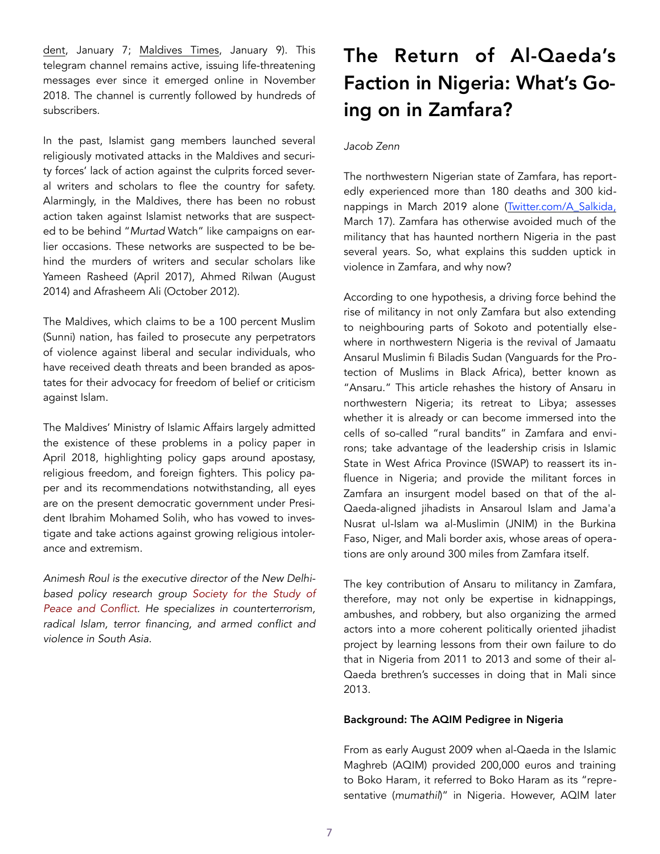[dent,](https://maldivesindependent.com/crime-2/maldives-top-court-quashes-death-by-stoning-verdict-for-adultery-143374) January 7; [Maldives Times](https://maldivestimes.com/police-investigating-hate-speech-and-death-threats/), January 9). This telegram channel remains active, issuing life-threatening messages ever since it emerged online in November 2018. The channel is currently followed by hundreds of subscribers.

In the past, Islamist gang members launched several religiously motivated attacks in the Maldives and security forces' lack of action against the culprits forced several writers and scholars to flee the country for safety. Alarmingly, in the Maldives, there has been no robust action taken against Islamist networks that are suspected to be behind "*Murtad* Watch" like campaigns on earlier occasions. These networks are suspected to be behind the murders of writers and secular scholars like Yameen Rasheed (April 2017), Ahmed Rilwan (August 2014) and Afrasheem Ali (October 2012).

The Maldives, which claims to be a 100 percent Muslim (Sunni) nation, has failed to prosecute any perpetrators of violence against liberal and secular individuals, who have received death threats and been branded as apostates for their advocacy for freedom of belief or criticism against Islam.

The Maldives' Ministry of Islamic Affairs largely admitted the existence of these problems in a policy paper in April 2018, highlighting policy gaps around apostasy, religious freedom, and foreign fighters. This policy paper and its recommendations notwithstanding, all eyes are on the present democratic government under President Ibrahim Mohamed Solih, who has vowed to investigate and take actions against growing religious intolerance and extremism.

*Animesh Roul is the executive director of the New Delhibased policy research group [Society for the Study of](http://www.sspconline.org/)  [Peace and Conflict](http://www.sspconline.org/). He specializes in counterterrorism, radical Islam, terror financing, and armed conflict and violence in South Asia.* 

# The Return of Al-Qaeda's Faction in Nigeria: What's Going on in Zamfara?

## *Jacob Zenn*

The northwestern Nigerian state of Zamfara, has reportedly experienced more than 180 deaths and 300 kidnappings in March 2019 alone ([Twitter.com/A\\_Salkida,](https://twitter.com/A_Salkida/status/1107755726812807168) March 17). Zamfara has otherwise avoided much of the militancy that has haunted northern Nigeria in the past several years. So, what explains this sudden uptick in violence in Zamfara, and why now?

According to one hypothesis, a driving force behind the rise of militancy in not only Zamfara but also extending to neighbouring parts of Sokoto and potentially elsewhere in northwestern Nigeria is the revival of Jamaatu Ansarul Muslimin fi Biladis Sudan (Vanguards for the Protection of Muslims in Black Africa), better known as "Ansaru." This article rehashes the history of Ansaru in northwestern Nigeria; its retreat to Libya; assesses whether it is already or can become immersed into the cells of so-called "rural bandits" in Zamfara and environs; take advantage of the leadership crisis in Islamic State in West Africa Province (ISWAP) to reassert its influence in Nigeria; and provide the militant forces in Zamfara an insurgent model based on that of the al-Qaeda-aligned jihadists in Ansaroul Islam and Jama'a Nusrat ul-Islam wa al-Muslimin (JNIM) in the Burkina Faso, Niger, and Mali border axis, whose areas of operations are only around 300 miles from Zamfara itself.

The key contribution of Ansaru to militancy in Zamfara, therefore, may not only be expertise in kidnappings, ambushes, and robbery, but also organizing the armed actors into a more coherent politically oriented jihadist project by learning lessons from their own failure to do that in Nigeria from 2011 to 2013 and some of their al-Qaeda brethren's successes in doing that in Mali since 2013.

### Background: The AQIM Pedigree in Nigeria

From as early August 2009 when al-Qaeda in the Islamic Maghreb (AQIM) provided 200,000 euros and training to Boko Haram, it referred to Boko Haram as its "representative (*mumathil*)" in Nigeria. However, AQIM later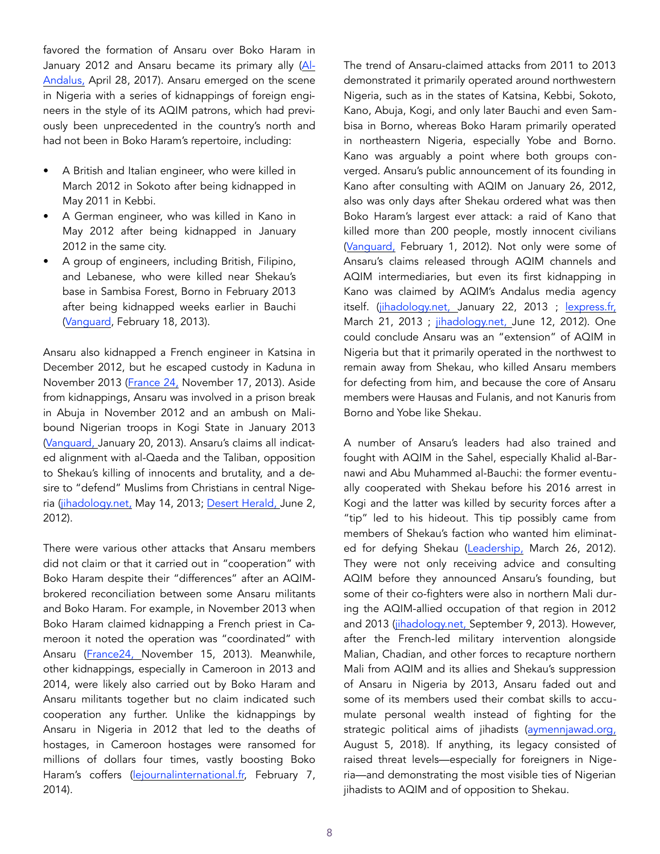favored the formation of Ansaru over Boko Haram in January 2012 and Ansaru became its primary ally (Al-Andalus, April 28, 2017). Ansaru emerged on the scene in Nigeria with a series of kidnappings of foreign engineers in the style of its AQIM patrons, which had previously been unprecedented in the country's north and had not been in Boko Haram's repertoire, including:

- A British and Italian engineer, who were killed in March 2012 in Sokoto after being kidnapped in May 2011 in Kebbi.
- A German engineer, who was killed in Kano in May 2012 after being kidnapped in January 2012 in the same city.
- A group of engineers, including British, Filipino, and Lebanese, who were killed near Shekau's base in Sambisa Forest, Borno in February 2013 after being kidnapped weeks earlier in Bauchi ([Vanguard](https://www.vanguardngr.com/2013/02/ansaru-claims-kidnap-of-7-foreigners-in-nigeria/), February 18, 2013).

Ansaru also kidnapped a French engineer in Katsina in December 2012, but he escaped custody in Kaduna in November 2013 ([France 24, November 17, 2013\)](https://www.france24.com/en/20131117-french-hostage-nigeria-freed-presidential-palace-collomp-hollande). Aside from kidnappings, Ansaru was involved in a prison break in Abuja in November 2012 and an ambush on Malibound Nigerian troops in Kogi State in January 2013 ([Vanguard, January 20, 2013\)](https://www.vanguardngr.com/2013/01/ansaru-claims-attack-that-killed-2). Ansaru's claims all indicated alignment with al-Qaeda and the Taliban, opposition to Shekau's killing of innocents and brutality, and a desire to "defend" Muslims from Christians in central Nigeria (jihadology.net, May 14, 2013; Desert Herald, June 2, [2012](https://www.nairaland.com/953)).

There were various other attacks that Ansaru members did not claim or that it carried out in "cooperation" with Boko Haram despite their "differences" after an AQIMbrokered reconciliation between some Ansaru militants and Boko Haram. For example, in November 2013 when Boko Haram claimed kidnapping a French priest in Cameroon it noted the operation was "coordinated" with Ansaru [\(France24, November 15, 2013](https://www.france24.com/en/20131115-nigeri)). Meanwhile, other kidnappings, especially in Cameroon in 2013 and 2014, were likely also carried out by Boko Haram and Ansaru militants together but no claim indicated such cooperation any further. Unlike the kidnappings by Ansaru in Nigeria in 2012 that led to the deaths of hostages, in Cameroon hostages were ransomed for millions of dollars four times, vastly boosting Boko Haram's coffers (lejournalinternational.fr, February 7, [2014](https://www.lejour)).

The trend of Ansaru-claimed attacks from 2011 to 2013 demonstrated it primarily operated around northwestern Nigeria, such as in the states of Katsina, Kebbi, Sokoto, Kano, Abuja, Kogi, and only later Bauchi and even Sambisa in Borno, whereas Boko Haram primarily operated in northeastern Nigeria, especially Yobe and Borno. Kano was arguably a point where both groups converged. Ansaru's public announcement of its founding in Kano after consulting with AQIM on January 26, 2012, also was only days after Shekau ordered what was then Boko Haram's largest ever attack: a raid of Kano that killed more than 200 people, mostly innocent civilians ([Vanguard, February 1, 2012\)](https://www.vanguardngr.com/2012/02/boko-haram-splinter-group-ansaru-emerges/). Not only were some of Ansaru's claims released through AQIM channels and AQIM intermediaries, but even its first kidnapping in Kano was claimed by AQIM's Andalus media agency itself. ([jihadology.net, January 22, 2013](https://jihadology.net/2013/01/22/new-statement-from-jamaat-an%E1%B9%A3ar-al-muslimin-fi-bilad-al-sudans-abu-yusuf-al-an%E1%B9%A3ari-claiming-credit-for-targeting) ; [lexpress.fr,](https://www.lexpress.fr/actualite/monde/afrique/francais-enleves-au-cameroun-le-mystere-boko-haram_1233499.html) [March 21, 2013](https://www.lexpress.fr/actualite/monde/afrique/francais-enleves-au-cameroun-le-mystere-boko-haram_1233499.html) ; [jihadology.net, June 12, 2012](https://jihadology.net/2012/06/12/al-andalus-media-presents-a-new-statement-from-al-qaidah-in-the-islamic-maghrib-on-the-killing-of-the-german-prisoner-in-nigeria/)). One could conclude Ansaru was an "extension" of AQIM in Nigeria but that it primarily operated in the northwest to remain away from Shekau, who killed Ansaru members for defecting from him, and because the core of Ansaru members were Hausas and Fulanis, and not Kanuris from Borno and Yobe like Shekau.

A number of Ansaru's leaders had also trained and fought with AQIM in the Sahel, especially Khalid al-Barnawi and Abu Muhammed al-Bauchi: the former eventually cooperated with Shekau before his 2016 arrest in Kogi and the latter was killed by security forces after a "tip" led to his hideout. This tip possibly came from members of Shekau's faction who wanted him eliminated for defying Shekau ([Leadership, March 26, 2012\)](https://allafrica.com/stories/201203261170.html). They were not only receiving advice and consulting AQIM before they announced Ansaru's founding, but some of their co-fighters were also in northern Mali during the AQIM-allied occupation of that region in 2012 and 2013 ([jihadology.net, September 9, 2013\)](https://jihadology.net/2013/09/09/new-video-). However, after the French-led military intervention alongside Malian, Chadian, and other forces to recapture northern Mali from AQIM and its allies and Shekau's suppression of Ansaru in Nigeria by 2013, Ansaru faded out and some of its members used their combat skills to accumulate personal wealth instead of fighting for the strategic political aims of jihadists ([aymennjawad.org,](http://www.aymennjawad.org/21467/the-islamic-state-west-africa-province-vs-abu) [August 5, 2018\)](http://www.aymennjawad.org/21467/the-islamic-state-west-africa-province-vs-abu). If anything, its legacy consisted of raised threat levels—especially for foreigners in Nigeria—and demonstrating the most visible ties of Nigerian jihadists to AQIM and of opposition to Shekau.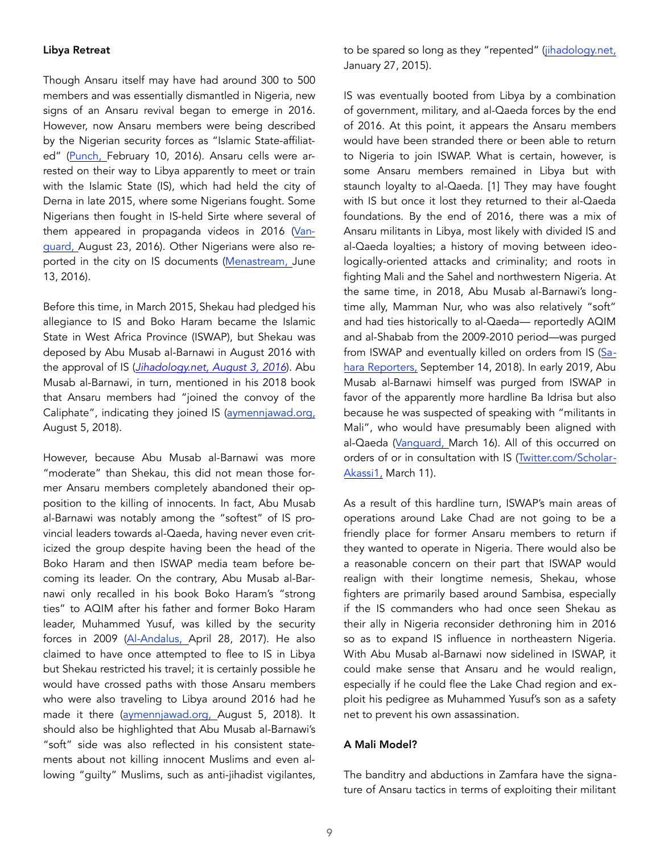#### Libya Retreat

Though Ansaru itself may have had around 300 to 500 members and was essentially dismantled in Nigeria, new signs of an Ansaru revival began to emerge in 2016. However, now Ansaru members were being described by the Nigerian security forces as "Islamic State-affiliat-ed" [\(Punch, February 10, 2016](https://punchng.com/dss-arrests-nigerian-student-recruiting-terrorists-for-isis/)). Ansaru cells were arrested on their way to Libya apparently to meet or train with the Islamic State (IS), which had held the city of Derna in late 2015, where some Nigerians fought. Some Nigerians then fought in IS-held Sirte where several of them appeared in propaganda videos in 2016 [\(Van](https://www.vanguardngr.com/2016/08/dss-arrests-mastermind-yobe-school-attack/)[guard, August 23, 2016](https://www.vanguardngr.com/2016/08/dss-arrests-mastermind-yobe-school-attack/)). Other Nigerians were also reported in the city on IS documents (Menastream, June [13, 2016\)](https://twitter.com/menastream/status/7425361571253043).

Before this time, in March 2015, Shekau had pledged his allegiance to IS and Boko Haram became the Islamic State in West Africa Province (ISWAP), but Shekau was deposed by Abu Musab al-Barnawi in August 2016 with the approval of IS (*[Jihadology.net, August 3, 2016](https://jihadology.net/2016/08/02/new-issue-of-the-islamic-states-newsletter-al-naba-41/)*). Abu Musab al-Barnawi, in turn, mentioned in his 2018 book that Ansaru members had "joined the convoy of the Caliphate", indicating they joined IS ([aymennjawad.org,](http://www.aymennjawad.org/21467/the-islamic-state-west-africa-province-vs-abu)  [August 5, 2018\)](http://www.aymennjawad.org/21467/the-islamic-state-west-africa-province-vs-abu).

However, because Abu Musab al-Barnawi was more "moderate" than Shekau, this did not mean those former Ansaru members completely abandoned their opposition to the killing of innocents. In fact, Abu Musab al-Barnawi was notably among the "softest" of IS provincial leaders towards al-Qaeda, having never even criticized the group despite having been the head of the Boko Haram and then ISWAP media team before becoming its leader. On the contrary, Abu Musab al-Barnawi only recalled in his book Boko Haram's "strong ties" to AQIM after his father and former Boko Haram leader, Muhammed Yusuf, was killed by the security forces in 2009 ([Al-Andalus, April 28, 2017\)](https://jihadology.net/2017/04/28/new-release-from-the-archives-of-al-qaidah-in-the-islamic-maghribs-shaykh-abu-al-%E1%B8%A5asan-rashid-shariah-advice-and-gu). He also claimed to have once attempted to flee to IS in Libya but Shekau restricted his travel; it is certainly possible he would have crossed paths with those Ansaru members who were also traveling to Libya around 2016 had he made it there [\(aymennjawad.org, August 5, 2018\)](http://www.aymennjawad.org/21467/the-islamic-state-west-africa-province-vs-abu). It should also be highlighted that Abu Musab al-Barnawi's "soft" side was also reflected in his consistent statements about not killing innocent Muslims and even allowing "guilty" Muslims, such as anti-jihadist vigilantes, to be spared so long as they "repented" ([jihadology.net,](https://jihadology.net/2015/01/27/al-urwah-al-wuthq) [January 27, 2015](https://jihadology.net/2015/01/27/al-urwah-al-wuthq)).

IS was eventually booted from Libya by a combination of government, military, and al-Qaeda forces by the end of 2016. At this point, it appears the Ansaru members would have been stranded there or been able to return to Nigeria to join ISWAP. What is certain, however, is some Ansaru members remained in Libya but with staunch loyalty to al-Qaeda. [1] They may have fought with IS but once it lost they returned to their al-Qaeda foundations. By the end of 2016, there was a mix of Ansaru militants in Libya, most likely with divided IS and al-Qaeda loyalties; a history of moving between ideologically-oriented attacks and criminality; and roots in fighting Mali and the Sahel and northwestern Nigeria. At the same time, in 2018, Abu Musab al-Barnawi's longtime ally, Mamman Nur, who was also relatively "soft" and had ties historically to al-Qaeda— reportedly AQIM and al-Shabab from the 2009-2010 period—was purged from ISWAP and eventually killed on orders from IS ([Sa](http://saharareporters.com/2018/09/14/boko-haram-leader-mamman-nur-killed-his-closest-lieutenants-releasing-)[hara Reporters, September 14, 2018\)](http://saharareporters.com/2018/09/14/boko-haram-leader-mamman-nur-killed-his-closest-lieutenants-releasing-). In early 2019, Abu Musab al-Barnawi himself was purged from ISWAP in favor of the apparently more hardline Ba Idrisa but also because he was suspected of speaking with "militants in Mali", who would have presumably been aligned with al-Qaeda (Vanguard, March 16). All of this occurred on orders of or in consultation with IS ([Twitter.com/Scholar](https://twitter.com/ScholarAkassi1/status/1105162689158930432)-[Akassi1, March 11\)](https://twitter.com/ScholarAkassi1/status/1105162689158930432).

As a result of this hardline turn, ISWAP's main areas of operations around Lake Chad are not going to be a friendly place for former Ansaru members to return if they wanted to operate in Nigeria. There would also be a reasonable concern on their part that ISWAP would realign with their longtime nemesis, Shekau, whose fighters are primarily based around Sambisa, especially if the IS commanders who had once seen Shekau as their ally in Nigeria reconsider dethroning him in 2016 so as to expand IS influence in northeastern Nigeria. With Abu Musab al-Barnawi now sidelined in ISWAP, it could make sense that Ansaru and he would realign, especially if he could flee the Lake Chad region and exploit his pedigree as Muhammed Yusuf's son as a safety net to prevent his own assassination.

### A Mali Model?

The banditry and abductions in Zamfara have the signature of Ansaru tactics in terms of exploiting their militant